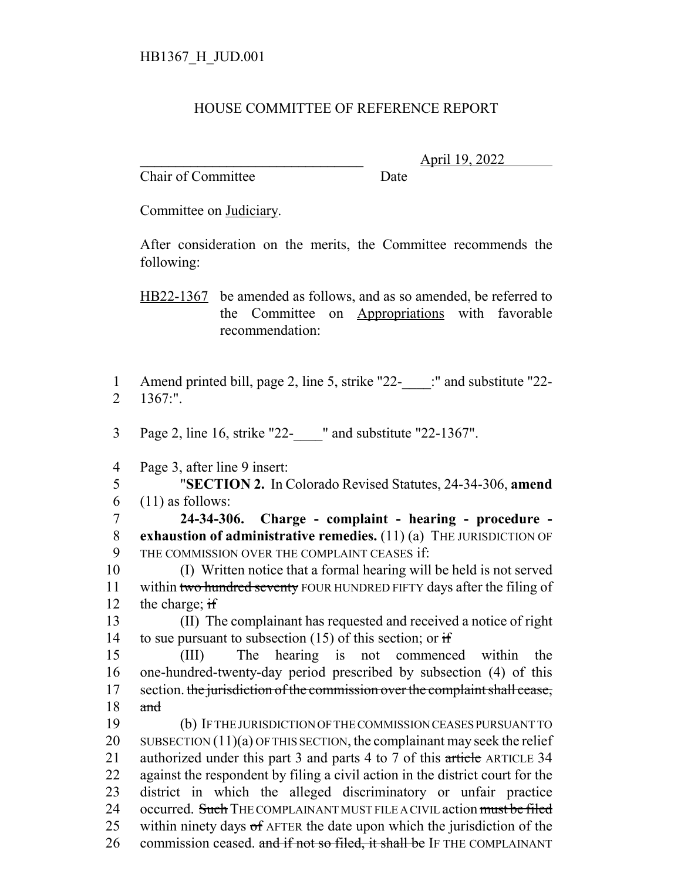## HOUSE COMMITTEE OF REFERENCE REPORT

Chair of Committee Date

\_\_\_\_\_\_\_\_\_\_\_\_\_\_\_\_\_\_\_\_\_\_\_\_\_\_\_\_\_\_\_ April 19, 2022

Committee on Judiciary.

After consideration on the merits, the Committee recommends the following:

HB22-1367 be amended as follows, and as so amended, be referred to the Committee on Appropriations with favorable recommendation:

1 Amend printed bill, page 2, line 5, strike "22-\_\_\_\_:" and substitute "22- 2 1367:".

3 Page 2, line 16, strike "22-\_\_\_\_" and substitute "22-1367".

4 Page 3, after line 9 insert:

5 "**SECTION 2.** In Colorado Revised Statutes, 24-34-306, **amend**  $6$  (11) as follows:

7 **24-34-306. Charge - complaint - hearing - procedure -** 8 **exhaustion of administrative remedies.** (11) (a) THE JURISDICTION OF 9 THE COMMISSION OVER THE COMPLAINT CEASES if:

10 (I) Written notice that a formal hearing will be held is not served 11 within two hundred seventy FOUR HUNDRED FIFTY days after the filing of 12 the charge; if

13 (II) The complainant has requested and received a notice of right 14 to sue pursuant to subsection  $(15)$  of this section; or if

15 (III) The hearing is not commenced within the 16 one-hundred-twenty-day period prescribed by subsection (4) of this 17 section. the jurisdiction of the commission over the complaint shall cease,  $18$  and

19 (b) IF THE JURISDICTION OF THE COMMISSION CEASES PURSUANT TO 20 SUBSECTION  $(11)(a)$  OF THIS SECTION, the complainant may seek the relief 21 authorized under this part 3 and parts 4 to 7 of this article ARTICLE 34 22 against the respondent by filing a civil action in the district court for the 23 district in which the alleged discriminatory or unfair practice 24 occurred. Such THE COMPLAINANT MUST FILE A CIVIL action must be filed 25 within ninety days of AFTER the date upon which the jurisdiction of the 26 commission ceased, and if not so filed, it shall be IF THE COMPLAINANT